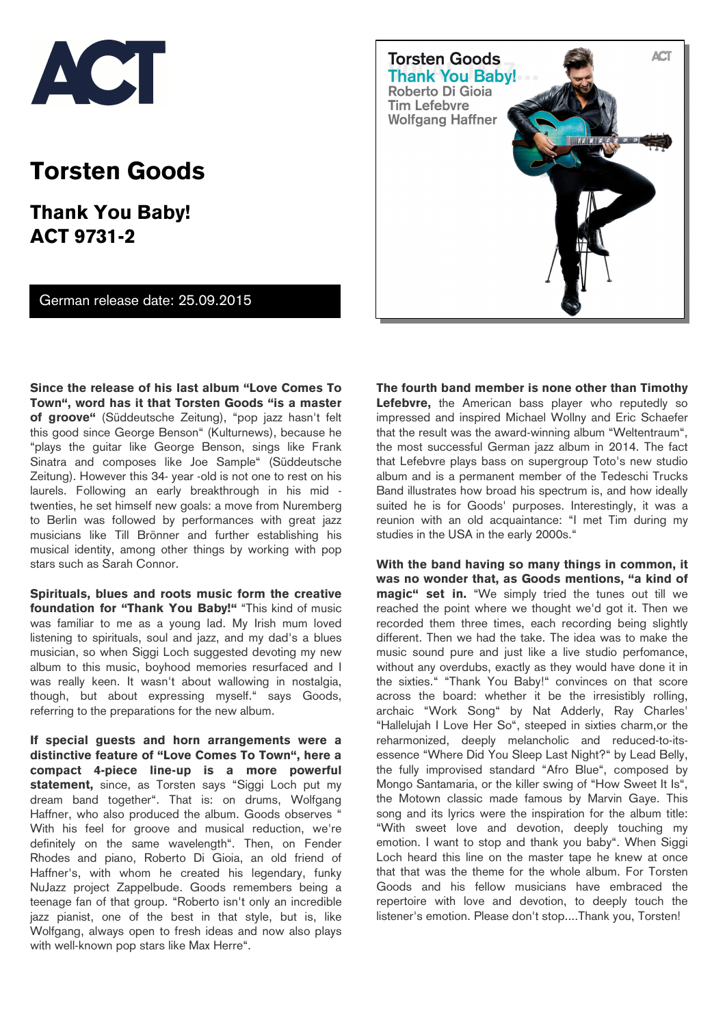

## **Torsten Goods**

**Thank You Baby! ACT 9731-2** 

## German release date: 25.09.2015



**Since the release of his last album "Love Comes To Town", word has it that Torsten Goods "is a master of groove"** (Süddeutsche Zeitung), "pop jazz hasn't felt this good since George Benson" (Kulturnews), because he "plays the guitar like George Benson, sings like Frank Sinatra and composes like Joe Sample" (Süddeutsche Zeitung). However this 34- year -old is not one to rest on his laurels. Following an early breakthrough in his mid twenties, he set himself new goals: a move from Nuremberg to Berlin was followed by performances with great jazz musicians like Till Brönner and further establishing his musical identity, among other things by working with pop stars such as Sarah Connor.

**Spirituals, blues and roots music form the creative foundation for "Thank You Baby!"** "This kind of music was familiar to me as a young lad. My Irish mum loved listening to spirituals, soul and jazz, and my dad's a blues musician, so when Siggi Loch suggested devoting my new album to this music, boyhood memories resurfaced and I was really keen. It wasn't about wallowing in nostalgia, though, but about expressing myself." says Goods, referring to the preparations for the new album.

**If special guests and horn arrangements were a distinctive feature of "Love Comes To Town", here a compact 4-piece line-up is a more powerful statement,** since, as Torsten says "Siggi Loch put my dream band together". That is: on drums, Wolfgang Haffner, who also produced the album. Goods observes ' With his feel for groove and musical reduction, we're definitely on the same wavelength". Then, on Fender Rhodes and piano, Roberto Di Gioia, an old friend of Haffner's, with whom he created his legendary, funky NuJazz project Zappelbude. Goods remembers being a teenage fan of that group. "Roberto isn't only an incredible jazz pianist, one of the best in that style, but is, like Wolfgang, always open to fresh ideas and now also plays with well-known pop stars like Max Herre".

**The fourth band member is none other than Timothy Lefebvre,** the American bass player who reputedly so impressed and inspired Michael Wollny and Eric Schaefer that the result was the award-winning album "Weltentraum", the most successful German jazz album in 2014. The fact that Lefebvre plays bass on supergroup Toto's new studio album and is a permanent member of the Tedeschi Trucks Band illustrates how broad his spectrum is, and how ideally suited he is for Goods' purposes. Interestingly, it was a reunion with an old acquaintance: "I met Tim during my studies in the USA in the early 2000s."

**With the band having so many things in common, it was no wonder that, as Goods mentions, "a kind of magic" set in.** "We simply tried the tunes out till we reached the point where we thought we'd got it. Then we recorded them three times, each recording being slightly different. Then we had the take. The idea was to make the music sound pure and just like a live studio perfomance, without any overdubs, exactly as they would have done it in the sixties." "Thank You Baby!" convinces on that score across the board: whether it be the irresistibly rolling, archaic "Work Song" by Nat Adderly, Ray Charles' "Hallelujah I Love Her So", steeped in sixties charm,or the reharmonized, deeply melancholic and reduced-to-itsessence "Where Did You Sleep Last Night?" by Lead Belly, the fully improvised standard "Afro Blue", composed by Mongo Santamaria, or the killer swing of "How Sweet It Is", the Motown classic made famous by Marvin Gaye. This song and its lyrics were the inspiration for the album title: "With sweet love and devotion, deeply touching my emotion. I want to stop and thank you baby". When Siggi Loch heard this line on the master tape he knew at once that that was the theme for the whole album. For Torsten Goods and his fellow musicians have embraced the repertoire with love and devotion, to deeply touch the listener's emotion. Please don't stop....Thank you, Torsten!